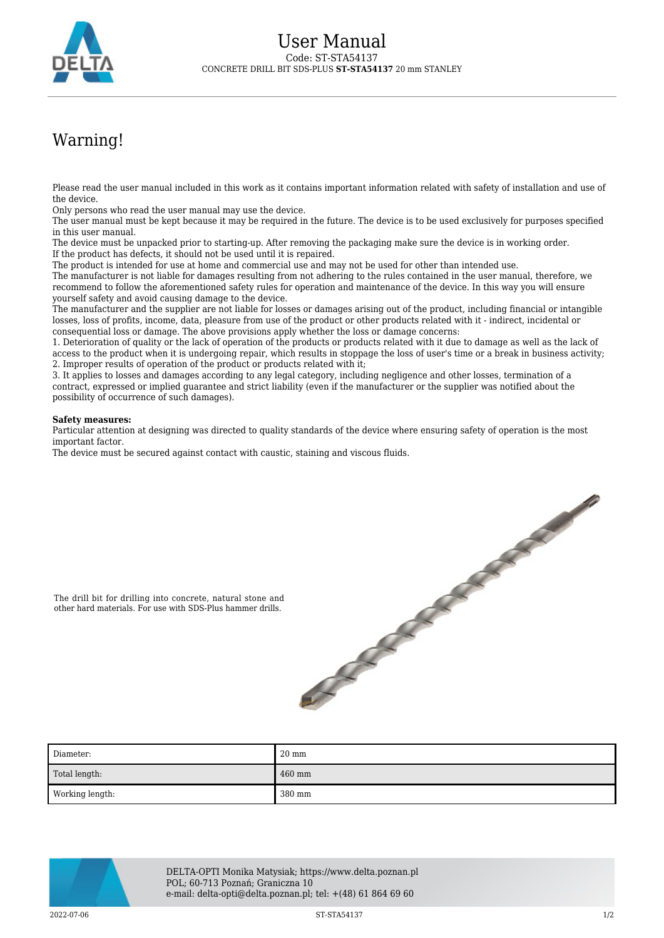

## Warning!

Please read the user manual included in this work as it contains important information related with safety of installation and use of the device.

Only persons who read the user manual may use the device.

The user manual must be kept because it may be required in the future. The device is to be used exclusively for purposes specified in this user manual.

The device must be unpacked prior to starting-up. After removing the packaging make sure the device is in working order. If the product has defects, it should not be used until it is repaired.

The product is intended for use at home and commercial use and may not be used for other than intended use.

The manufacturer is not liable for damages resulting from not adhering to the rules contained in the user manual, therefore, we recommend to follow the aforementioned safety rules for operation and maintenance of the device. In this way you will ensure yourself safety and avoid causing damage to the device.

The manufacturer and the supplier are not liable for losses or damages arising out of the product, including financial or intangible losses, loss of profits, income, data, pleasure from use of the product or other products related with it - indirect, incidental or consequential loss or damage. The above provisions apply whether the loss or damage concerns:

1. Deterioration of quality or the lack of operation of the products or products related with it due to damage as well as the lack of access to the product when it is undergoing repair, which results in stoppage the loss of user's time or a break in business activity; 2. Improper results of operation of the product or products related with it;

3. It applies to losses and damages according to any legal category, including negligence and other losses, termination of a contract, expressed or implied guarantee and strict liability (even if the manufacturer or the supplier was notified about the possibility of occurrence of such damages).

## **Safety measures:**

Particular attention at designing was directed to quality standards of the device where ensuring safety of operation is the most important factor.

The device must be secured against contact with caustic, staining and viscous fluids.



The drill bit for drilling into concrete, natural stone and other hard materials. For use with SDS-Plus hammer drills.

| Diameter:       | $20 \text{ mm}$ |
|-----------------|-----------------|
| Total length:   | 460 mm          |
| Working length: | 380 mm          |



DELTA-OPTI Monika Matysiak; https://www.delta.poznan.pl POL; 60-713 Poznań; Graniczna 10 e-mail: delta-opti@delta.poznan.pl; tel: +(48) 61 864 69 60